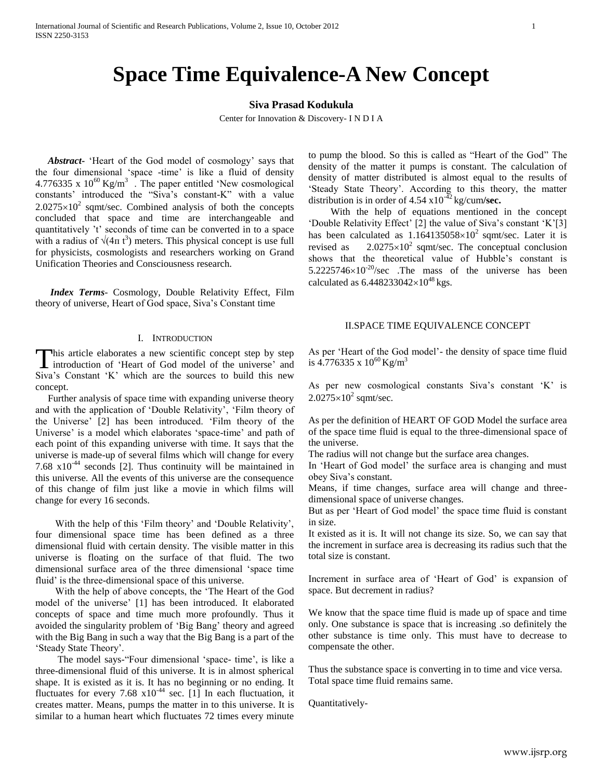# **Space Time Equivalence-A New Concept**

## **Siva Prasad Kodukula**

Center for Innovation & Discovery- I N D I A

 *Abstract***-** "Heart of the God model of cosmology" says that the four dimensional "space -time" is like a fluid of density 4.776335 x  $10^{60}$  Kg/m<sup>3</sup>. The paper entitled 'New cosmological constants' introduced the "Siva's constant-K" with a value  $2.0275 \times 10^2$  sqmt/sec. Combined analysis of both the concepts concluded that space and time are interchangeable and quantitatively "t" seconds of time can be converted in to a space with a radius of  $\sqrt{(4\pi t^3)}$  meters. This physical concept is use full for physicists, cosmologists and researchers working on Grand Unification Theories and Consciousness research.

 *Index Terms-* Cosmology, Double Relativity Effect, Film theory of universe, Heart of God space, Siva"s Constant time

#### I. INTRODUCTION

his article elaborates a new scientific concept step by step introduction of 'Heart of God model of the universe' and This article elaborates a new scientific concept step by step introduction of 'Heart of God model of the universe' and Siva's Constant 'K' which are the sources to build this new concept.

 Further analysis of space time with expanding universe theory and with the application of "Double Relativity", "Film theory of the Universe" [2] has been introduced. "Film theory of the Universe' is a model which elaborates 'space-time' and path of each point of this expanding universe with time. It says that the universe is made-up of several films which will change for every 7.68  $x10^{-44}$  seconds [2]. Thus continuity will be maintained in this universe. All the events of this universe are the consequence of this change of film just like a movie in which films will change for every 16 seconds.

With the help of this 'Film theory' and 'Double Relativity', four dimensional space time has been defined as a three dimensional fluid with certain density. The visible matter in this universe is floating on the surface of that fluid. The two dimensional surface area of the three dimensional "space time fluid' is the three-dimensional space of this universe.

 With the help of above concepts, the "The Heart of the God model of the universe" [1] has been introduced. It elaborated concepts of space and time much more profoundly. Thus it avoided the singularity problem of "Big Bang" theory and agreed with the Big Bang in such a way that the Big Bang is a part of the 'Steady State Theory'.

 The model says-"Four dimensional "space- time", is like a three-dimensional fluid of this universe. It is in almost spherical shape. It is existed as it is. It has no beginning or no ending. It fluctuates for every 7.68  $x10^{-44}$  sec. [1] In each fluctuation, it creates matter. Means, pumps the matter in to this universe. It is similar to a human heart which fluctuates 72 times every minute to pump the blood. So this is called as "Heart of the God" The density of the matter it pumps is constant. The calculation of density of matter distributed is almost equal to the results of 'Steady State Theory'. According to this theory, the matter distribution is in order of  $4.54 \times 10^{-42}$  kg/cum/sec.

With the help of equations mentioned in the concept "Double Relativity Effect" [2] the value of Siva's constant 'K'[3] has been calculated as  $1.164135058\times10^2$  sqmt/sec. Later it is revised as  $2.0275 \times 10^2$  sqmt/sec. The conceptual conclusion shows that the theoretical value of Hubble"s constant is  $5.2225746\times10^{-20}/sec$  . The mass of the universe has been calculated as  $6.448233042\times10^{48}$  kgs.

### II.SPACE TIME EQUIVALENCE CONCEPT

As per "Heart of the God model"- the density of space time fluid is  $4.776335 \times 10^{60}$  Kg/m<sup>3</sup>

As per new cosmological constants Siva's constant 'K' is  $2.0275\times10^2$  sqmt/sec.

As per the definition of HEART OF GOD Model the surface area of the space time fluid is equal to the three-dimensional space of the universe.

The radius will not change but the surface area changes.

In 'Heart of God model' the surface area is changing and must obey Siva"s constant.

Means, if time changes, surface area will change and threedimensional space of universe changes.

But as per "Heart of God model" the space time fluid is constant in size.

It existed as it is. It will not change its size. So, we can say that the increment in surface area is decreasing its radius such that the total size is constant.

Increment in surface area of 'Heart of God' is expansion of space. But decrement in radius?

We know that the space time fluid is made up of space and time only. One substance is space that is increasing .so definitely the other substance is time only. This must have to decrease to compensate the other.

Thus the substance space is converting in to time and vice versa. Total space time fluid remains same.

Quantitatively-